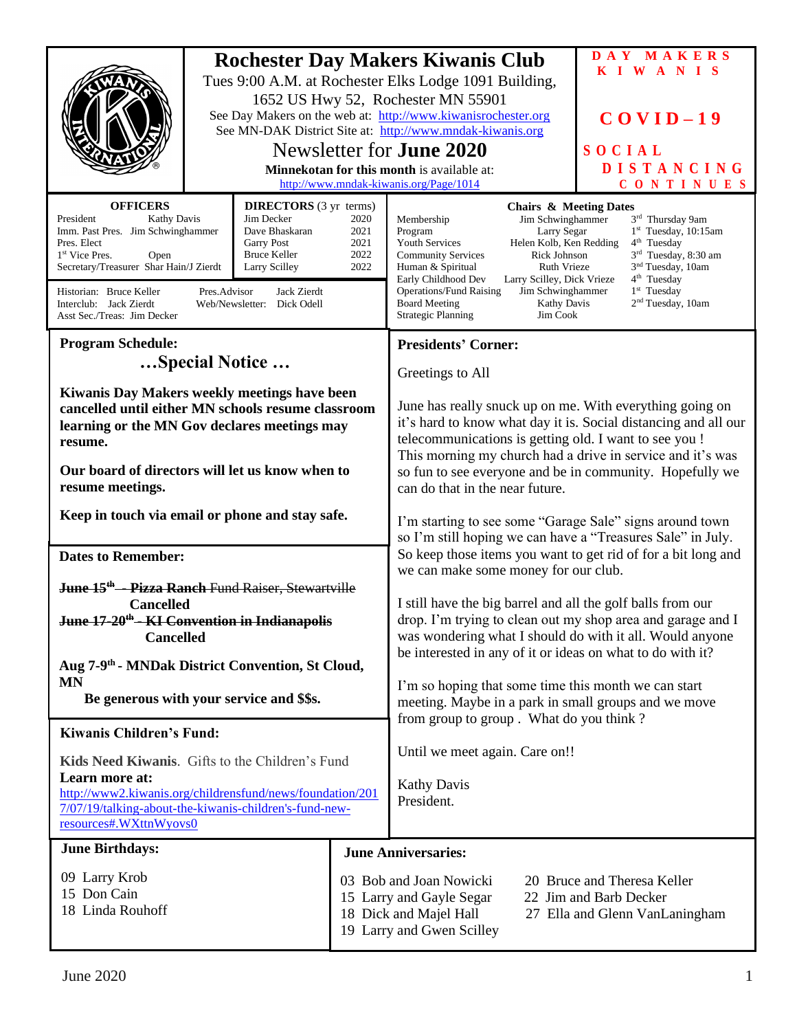|                                                                                                                                                                                                                                                                                                                                                                                                                                                                                                        | 1652 US Hwy 52, Rochester MN 55901<br>Newsletter for <b>June 2020</b><br>Minnekotan for this month is available at:<br>http://www.mndak-kiwanis.org/Page/1014 | <b>Rochester Day Makers Kiwanis Club</b><br>Tues 9:00 A.M. at Rochester Elks Lodge 1091 Building,<br>See Day Makers on the web at: http://www.kiwanisrochester.org<br>See MN-DAK District Site at: http://www.mndak-kiwanis.org                                                                                                                                                                                                                                                          | DAY MAKERS<br>KIWANIS<br>$COVID-19$<br>SOCIAL<br><b>DISTANCING</b><br>CONTINUES                                                                                                                             |  |
|--------------------------------------------------------------------------------------------------------------------------------------------------------------------------------------------------------------------------------------------------------------------------------------------------------------------------------------------------------------------------------------------------------------------------------------------------------------------------------------------------------|---------------------------------------------------------------------------------------------------------------------------------------------------------------|------------------------------------------------------------------------------------------------------------------------------------------------------------------------------------------------------------------------------------------------------------------------------------------------------------------------------------------------------------------------------------------------------------------------------------------------------------------------------------------|-------------------------------------------------------------------------------------------------------------------------------------------------------------------------------------------------------------|--|
| <b>DIRECTORS</b> (3 yr terms)<br><b>OFFICERS</b><br>Jim Decker<br>President<br><b>Kathy Davis</b><br>2020<br>Imm. Past Pres. Jim Schwinghammer<br>Dave Bhaskaran<br>2021<br><b>Garry Post</b><br>2021<br>Pres. Elect<br>2022<br>1 <sup>st</sup> Vice Pres.<br>Open<br>Bruce Keller<br>Secretary/Treasurer Shar Hain/J Zierdt<br>2022<br>Larry Scilley<br>Historian: Bruce Keller<br>Pres.Advisor<br>Jack Zierdt<br>Interclub: Jack Zierdt<br>Web/Newsletter: Dick Odell<br>Asst Sec./Treas: Jim Decker |                                                                                                                                                               | <b>Chairs &amp; Meeting Dates</b><br>Membership<br>Jim Schwinghammer<br>Program<br>Larry Segar<br>Youth Services<br>Helen Kolb, Ken Redding<br><b>Community Services</b><br>Rick Johnson<br>Human & Spiritual<br>Ruth Vrieze<br>Early Childhood Dev<br>Larry Scilley, Dick Vrieze<br><b>Operations/Fund Raising</b><br>Jim Schwinghammer<br><b>Board Meeting</b><br>Kathy Davis<br><b>Strategic Planning</b><br>Jim Cook                                                                 | 3rd Thursday 9am<br>$1st$ Tuesday, 10:15am<br>$4th$ Tuesday<br>3rd Tuesday, 8:30 am<br>3 <sup>nd</sup> Tuesday, 10am<br>4 <sup>th</sup> Tuesday<br>1 <sup>st</sup> Tuesday<br>2 <sup>nd</sup> Tuesday, 10am |  |
| <b>Program Schedule:</b>                                                                                                                                                                                                                                                                                                                                                                                                                                                                               |                                                                                                                                                               | <b>Presidents' Corner:</b>                                                                                                                                                                                                                                                                                                                                                                                                                                                               |                                                                                                                                                                                                             |  |
| Special Notice                                                                                                                                                                                                                                                                                                                                                                                                                                                                                         |                                                                                                                                                               |                                                                                                                                                                                                                                                                                                                                                                                                                                                                                          |                                                                                                                                                                                                             |  |
| Kiwanis Day Makers weekly meetings have been<br>cancelled until either MN schools resume classroom<br>learning or the MN Gov declares meetings may<br>resume.<br>Our board of directors will let us know when to<br>resume meetings.                                                                                                                                                                                                                                                                   |                                                                                                                                                               | Greetings to All<br>June has really snuck up on me. With everything going on<br>it's hard to know what day it is. Social distancing and all our<br>telecommunications is getting old. I want to see you !<br>This morning my church had a drive in service and it's was<br>so fun to see everyone and be in community. Hopefully we<br>can do that in the near future.                                                                                                                   |                                                                                                                                                                                                             |  |
| Keep in touch via email or phone and stay safe.                                                                                                                                                                                                                                                                                                                                                                                                                                                        |                                                                                                                                                               | I'm starting to see some "Garage Sale" signs around town<br>so I'm still hoping we can have a "Treasures Sale" in July.<br>So keep those items you want to get rid of for a bit long and<br>we can make some money for our club.<br>I still have the big barrel and all the golf balls from our<br>drop. I'm trying to clean out my shop area and garage and I<br>was wondering what I should do with it all. Would anyone<br>be interested in any of it or ideas on what to do with it? |                                                                                                                                                                                                             |  |
|                                                                                                                                                                                                                                                                                                                                                                                                                                                                                                        |                                                                                                                                                               |                                                                                                                                                                                                                                                                                                                                                                                                                                                                                          |                                                                                                                                                                                                             |  |
| <b>Dates to Remember:</b><br><b>June 15<sup>th</sup> -- Pizza Ranch Fund Raiser, Stewartville</b><br><b>Cancelled</b><br>June 17-20 <sup>th</sup> - KI Convention in Indianapolis<br><b>Cancelled</b>                                                                                                                                                                                                                                                                                                  |                                                                                                                                                               |                                                                                                                                                                                                                                                                                                                                                                                                                                                                                          |                                                                                                                                                                                                             |  |
| Aug 7-9 <sup>th</sup> - MNDak District Convention, St Cloud,                                                                                                                                                                                                                                                                                                                                                                                                                                           |                                                                                                                                                               |                                                                                                                                                                                                                                                                                                                                                                                                                                                                                          |                                                                                                                                                                                                             |  |
| <b>MN</b><br>Be generous with your service and \$\$s.                                                                                                                                                                                                                                                                                                                                                                                                                                                  |                                                                                                                                                               | I'm so hoping that some time this month we can start<br>meeting. Maybe in a park in small groups and we move<br>from group to group. What do you think?                                                                                                                                                                                                                                                                                                                                  |                                                                                                                                                                                                             |  |
| <b>Kiwanis Children's Fund:</b>                                                                                                                                                                                                                                                                                                                                                                                                                                                                        |                                                                                                                                                               |                                                                                                                                                                                                                                                                                                                                                                                                                                                                                          |                                                                                                                                                                                                             |  |
| Kids Need Kiwanis. Gifts to the Children's Fund<br>Learn more at:<br>http://www2.kiwanis.org/childrensfund/news/foundation/201<br>7/07/19/talking-about-the-kiwanis-children's-fund-new-<br>resources#.WXttnWyovs0                                                                                                                                                                                                                                                                                     |                                                                                                                                                               | Until we meet again. Care on!!<br><b>Kathy Davis</b><br>President.                                                                                                                                                                                                                                                                                                                                                                                                                       |                                                                                                                                                                                                             |  |
| <b>June Birthdays:</b>                                                                                                                                                                                                                                                                                                                                                                                                                                                                                 |                                                                                                                                                               | <b>June Anniversaries:</b>                                                                                                                                                                                                                                                                                                                                                                                                                                                               |                                                                                                                                                                                                             |  |
| 09 Larry Krob<br>15 Don Cain<br>18 Linda Rouhoff                                                                                                                                                                                                                                                                                                                                                                                                                                                       |                                                                                                                                                               | 03 Bob and Joan Nowicki<br>15 Larry and Gayle Segar<br>18 Dick and Majel Hall<br>19 Larry and Gwen Scilley                                                                                                                                                                                                                                                                                                                                                                               | 20 Bruce and Theresa Keller<br>22 Jim and Barb Decker<br>27 Ella and Glenn VanLaningham                                                                                                                     |  |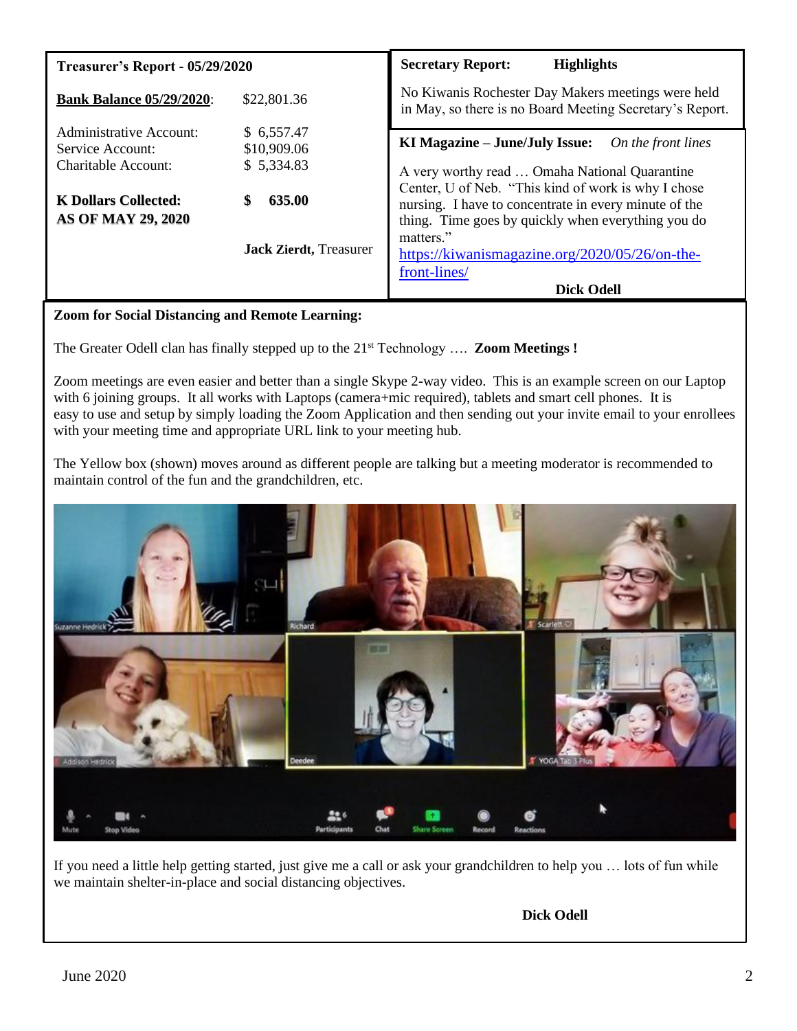| Treasurer's Report - 05/29/2020                                                                                                |                                                                                           | <b>Highlights</b><br><b>Secretary Report:</b>                                                                                                                                                                                                                                                                                              |  |
|--------------------------------------------------------------------------------------------------------------------------------|-------------------------------------------------------------------------------------------|--------------------------------------------------------------------------------------------------------------------------------------------------------------------------------------------------------------------------------------------------------------------------------------------------------------------------------------------|--|
| <b>Bank Balance 05/29/2020:</b>                                                                                                | \$22,801.36                                                                               | No Kiwanis Rochester Day Makers meetings were held<br>in May, so there is no Board Meeting Secretary's Report.                                                                                                                                                                                                                             |  |
| Administrative Account:<br>Service Account:<br>Charitable Account:<br><b>K Dollars Collected:</b><br><b>AS OF MAY 29, 2020</b> | \$6,557.47<br>\$10,909.06<br>\$5,334.83<br>635.00<br>\$<br><b>Jack Zierdt</b> , Treasurer | KI Magazine – June/July Issue:<br>On the front lines<br>A very worthy read  Omaha National Quarantine<br>Center, U of Neb. "This kind of work is why I chose<br>nursing. I have to concentrate in every minute of the<br>thing. Time goes by quickly when everything you do<br>matters."<br>https://kiwanismagazine.org/2020/05/26/on-the- |  |
|                                                                                                                                |                                                                                           | front-lines/<br><b>Dick Odell</b>                                                                                                                                                                                                                                                                                                          |  |

# **Zoom for Social Distancing and Remote Learning:**

The Greater Odell clan has finally stepped up to the 21st Technology …. **Zoom Meetings !**

Zoom meetings are even easier and better than a single Skype 2-way video. This is an example screen on our Laptop with 6 joining groups. It all works with Laptops (camera+mic required), tablets and smart cell phones. It is easy to use and setup by simply loading the Zoom Application and then sending out your invite email to your enrollees with your meeting time and appropriate URL link to your meeting hub.

The Yellow box (shown) moves around as different people are talking but a meeting moderator is recommended to maintain control of the fun and the grandchildren, etc.



If you need a little help getting started, just give me a call or ask your grandchildren to help you … lots of fun while we maintain shelter-in-place and social distancing objectives.

**Dick Odell**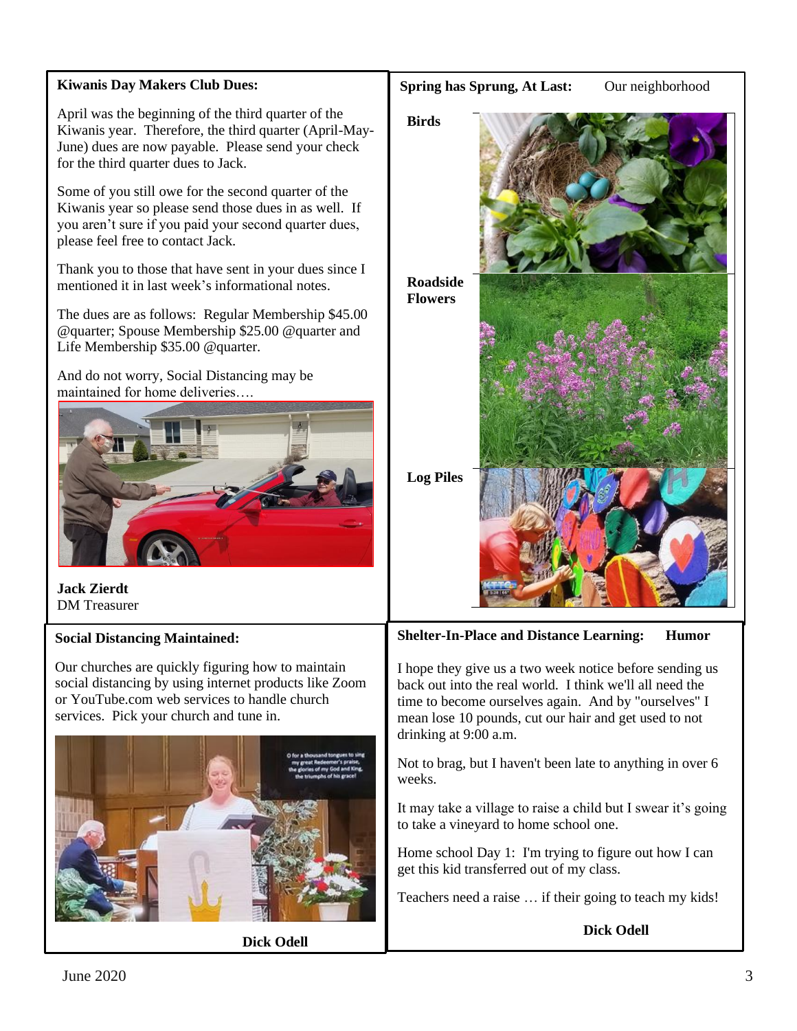# **Kiwanis Day Makers Club Dues:**

April was the beginning of the third quarter of the Kiwanis year. Therefore, the third quarter (April-May-June) dues are now payable. Please send your check for the third quarter dues to Jack.

Some of you still owe for the second quarter of the Kiwanis year so please send those dues in as well. If you aren't sure if you paid your second quarter dues, please feel free to contact Jack.

Thank you to those that have sent in your dues since I mentioned it in last week's informational notes.

The dues are as follows: Regular Membership \$45.00 @quarter; Spouse Membership \$25.00 @quarter and Life Membership \$35.00 @quarter.

And do not worry, Social Distancing may be maintained for home deliveries….



**Jack Zierdt** DM Treasurer

## **Social Distancing Maintained:**

Our churches are quickly figuring how to maintain social distancing by using internet products like Zoom or YouTube.com web services to handle church services. Pick your church and tune in.



**Dick Odell**



**Shelter-In-Place and Distance Learning: Humor**

I hope they give us a two week notice before sending us back out into the real world. I think we'll all need the time to become ourselves again. And by "ourselves" I mean lose 10 pounds, cut our hair and get used to not drinking at 9:00 a.m.

Not to brag, but I haven't been late to anything in over 6 weeks.

It may take a village to raise a child but I swear it's going to take a vineyard to home school one.

Home school Day 1: I'm trying to figure out how I can get this kid transferred out of my class.

Teachers need a raise … if their going to teach my kids!

#### **Dick Odell**